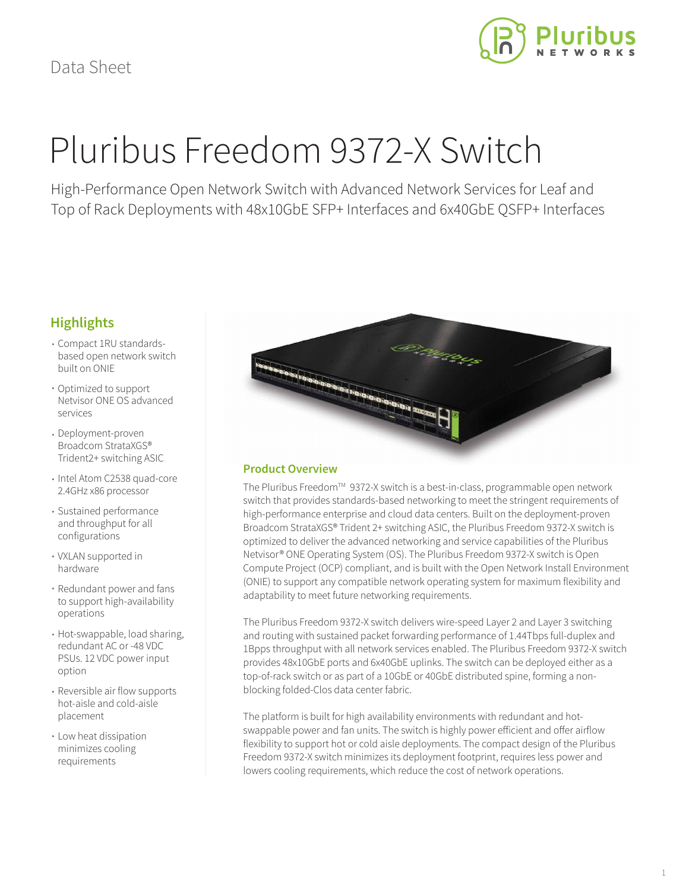

# Pluribus Freedom 9372-X Switch

High-Performance Open Network Switch with Advanced Network Services for Leaf and Top of Rack Deployments with 48x10GbE SFP+ Interfaces and 6x40GbE QSFP+ Interfaces

## **Highlights**

- Compact 1RU standardsbased open network switch built on ONIE
- Optimized to support Netvisor ONE OS advanced services
- Deployment-proven Broadcom StrataXGS® Trident2+ switching ASIC
- Intel Atom C2538 quad-core 2.4GHz x86 processor
- Sustained performance and throughput for all configurations
- VXLAN supported in hardware
- Redundant power and fans to support high-availability operations
- Hot-swappable, load sharing, redundant AC or -48 VDC PSUs. 12 VDC power input option
- Reversible air flow supports hot-aisle and cold-aisle placement
- Low heat dissipation minimizes cooling requirements



## **Product Overview**

The Pluribus Freedom™ 9372-X switch is a best-in-class, programmable open network switch that provides standards-based networking to meet the stringent requirements of high-performance enterprise and cloud data centers. Built on the deployment-proven Broadcom StrataXGS® Trident 2+ switching ASIC, the Pluribus Freedom 9372-X switch is optimized to deliver the advanced networking and service capabilities of the Pluribus Netvisor® ONE Operating System (OS). The Pluribus Freedom 9372-X switch is Open Compute Project (OCP) compliant, and is built with the Open Network Install Environment (ONIE) to support any compatible network operating system for maximum flexibility and adaptability to meet future networking requirements.

The Pluribus Freedom 9372-X switch delivers wire-speed Layer 2 and Layer 3 switching and routing with sustained packet forwarding performance of 1.44Tbps full-duplex and 1Bpps throughput with all network services enabled. The Pluribus Freedom 9372-X switch provides 48x10GbE ports and 6x40GbE uplinks. The switch can be deployed either as a top-of-rack switch or as part of a 10GbE or 40GbE distributed spine, forming a nonblocking folded-Clos data center fabric.

The platform is built for high availability environments with redundant and hotswappable power and fan units. The switch is highly power efficient and offer airflow flexibility to support hot or cold aisle deployments. The compact design of the Pluribus Freedom 9372-X switch minimizes its deployment footprint, requires less power and lowers cooling requirements, which reduce the cost of network operations.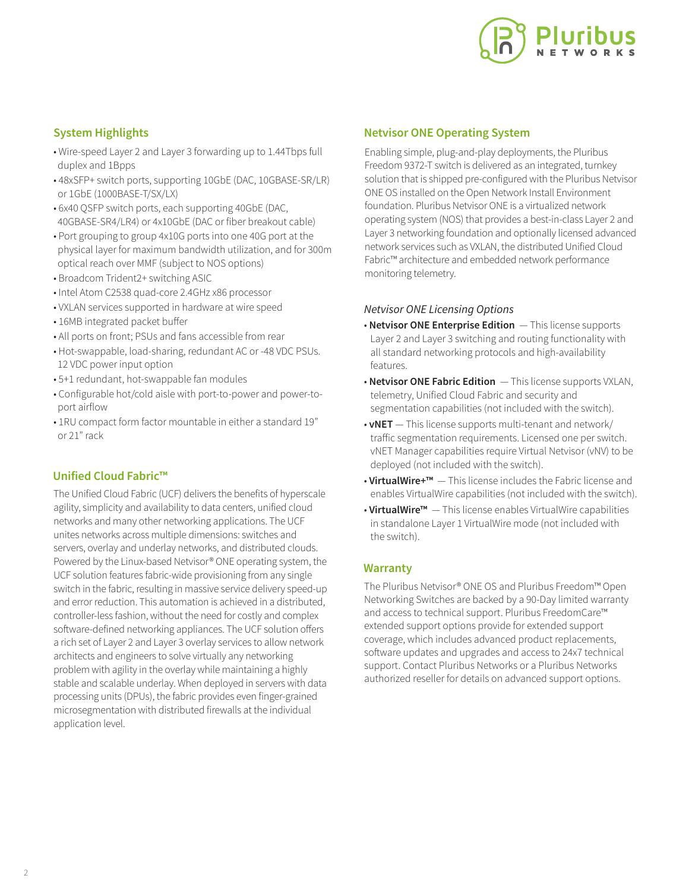

## **System Highlights**

- Wire-speed Layer 2 and Layer 3 forwarding up to 1.44Tbps full duplex and 1Bpps
- 48xSFP+ switch ports, supporting 10GbE (DAC, 10GBASE-SR/LR) or 1GbE (1000BASE-T/SX/LX)
- 6x40 QSFP switch ports, each supporting 40GbE (DAC, 40GBASE-SR4/LR4) or 4x10GbE (DAC or fiber breakout cable)
- Port grouping to group 4x10G ports into one 40G port at the physical layer for maximum bandwidth utilization, and for 300m optical reach over MMF (subject to NOS options)
- Broadcom Trident2+ switching ASIC
- Intel Atom C2538 quad-core 2.4GHz x86 processor
- VXLAN services supported in hardware at wire speed
- 16MB integrated packet buffer
- All ports on front; PSUs and fans accessible from rear
- Hot-swappable, load-sharing, redundant AC or -48 VDC PSUs. 12 VDC power input option
- 5+1 redundant, hot-swappable fan modules
- Configurable hot/cold aisle with port-to-power and power-to port airflow
- 1RU compact form factor mountable in either a standard 19" or 21" rack

## **Unified Cloud Fabric™**

The Unified Cloud Fabric (UCF) delivers the benefits of hyperscale agility, simplicity and availability to data centers, unified cloud networks and many other networking applications. The UCF unites networks across multiple dimensions: switches and servers, overlay and underlay networks, and distributed clouds. Powered by the Linux-based Netvisor® ONE operating system, the UCF solution features fabric-wide provisioning from any single switch in the fabric, resulting in massive service delivery speed-up and error reduction. This automation is achieved in a distributed, controller-less fashion, without the need for costly and complex software-defined networking appliances. The UCF solution offers a rich set of Layer 2 and Layer 3 overlay services to allow network architects and engineers to solve virtually any networking problem with agility in the overlay while maintaining a highly stable and scalable underlay. When deployed in servers with data processing units (DPUs), the fabric provides even finger-grained microsegmentation with distributed firewalls at the individual application level.

#### **Netvisor ONE Operating System**

Enabling simple, plug-and-play deployments, the Pluribus Freedom 9372-T switch is delivered as an integrated, turnkey solution that is shipped pre-configured with the Pluribus Netvisor ONE OS installed on the Open Network Install Environment foundation. Pluribus Netvisor ONE is a virtualized network operating system (NOS) that provides a best-in-class Layer 2 and Layer 3 networking foundation and optionally licensed advanced network services such as VXLAN, the distributed Unified Cloud Fabric™ architecture and embedded network performance monitoring telemetry.

#### *Netvisor ONE Licensing Options*

- **Netvisor ONE Enterprise Edition**  This license supports Layer 2 and Layer 3 switching and routing functionality with all standard networking protocols and high-availability features.
- **Netvisor ONE Fabric Edition**  This license supports VXLAN, telemetry, Unified Cloud Fabric and security and segmentation capabilities (not included with the switch).
- **vNET**  This license supports multi-tenant and network/ traffic segmentation requirements. Licensed one per switch. vNET Manager capabilities require Virtual Netvisor (vNV) to be deployed (not included with the switch).
- **VirtualWire+™**  This license includes the Fabric license and enables VirtualWire capabilities (not included with the switch).
- **VirtualWire™**  This license enables VirtualWire capabilities in standalone Layer 1 VirtualWire mode (not included with the switch).

### **Warranty**

The Pluribus Netvisor® ONE OS and Pluribus Freedom™ Open Networking Switches are backed by a 90-Day limited warranty and access to technical support. Pluribus FreedomCare™ extended support options provide for extended support coverage, which includes advanced product replacements, software updates and upgrades and access to 24x7 technical support. Contact Pluribus Networks or a Pluribus Networks authorized reseller for details on advanced support options.